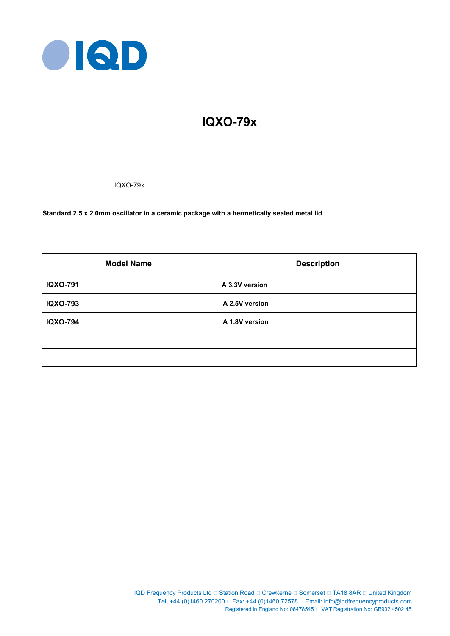

# **IQXO-79x**

IQXO-79x

**Standard 2.5 x 2.0mm oscillator in a ceramic package with a hermetically sealed metal lid**

| <b>Model Name</b> | <b>Description</b> |  |  |
|-------------------|--------------------|--|--|
| <b>IQXO-791</b>   | A 3.3V version     |  |  |
| <b>IQXO-793</b>   | A 2.5V version     |  |  |
| <b>IQXO-794</b>   | A 1.8V version     |  |  |
|                   |                    |  |  |
|                   |                    |  |  |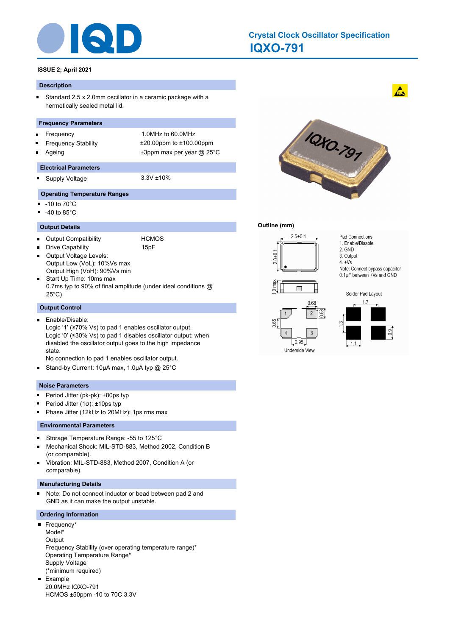

## **IQXO-791 Crystal Clock Oscillator Specification**

## **ISSUE 2; April 2021**

#### **Description**

 $\blacksquare$ Standard 2.5 x 2.0mm oscillator in a ceramic package with a hermetically sealed metal lid.

#### **Frequency Parameters**

- $\blacksquare$
- 
- 

Frequency 1.0MHz to 60.0MHz Frequency Stability ±20.00ppm to ±100.00ppm Ageing  $\qquad \qquad \pm 3$ ppm max per year @ 25°C

#### **Electrical Parameters**

- Supply Voltage 3.3V ±10% O
	-

#### **Operating Temperature Ranges**

- $\blacksquare$ -10 to 70°C
- -40 to 85°C  $\blacksquare$

#### **Output Details**

Output Compatibility HCMOS  $\blacksquare$ 

Drive Capability **15pF** 

- Output Voltage Levels:  $\blacksquare$ Output Low (VoL): 10%Vs max Output High (VoH): 90%Vs min
- Start Up Time: 10ms max 0.7ms typ to 90% of final amplitude (under ideal conditions @ 25°C)

#### **Output Control**

Enable/Disable:  $\blacksquare$ Logic '1' (≥70% Vs) to pad 1 enables oscillator output. Logic '0' (≤30% Vs) to pad 1 disables oscillator output; when disabled the oscillator output goes to the high impedance state.

No connection to pad 1 enables oscillator output.

Stand-by Current: 10μA max, 1.0µA typ @ 25°C  $\blacksquare$ 

#### **Noise Parameters**

- Period Jitter (pk-pk): ±80ps typ  $\blacksquare$
- Period Jitter (1σ): ±10ps typ n
- Phase Jitter (12kHz to 20MHz): 1ps rms max n,

#### **Environmental Parameters**

- $\blacksquare$ Storage Temperature Range: -55 to 125°C
- Mechanical Shock: MIL-STD-883, Method 2002, Condition B (or comparable).
- Vibration: MIL-STD-883, Method 2007, Condition A (or  $\blacksquare$ comparable).

#### **Manufacturing Details**

 $\blacksquare$ Note: Do not connect inductor or bead between pad 2 and GND as it can make the output unstable.

#### **Ordering Information**

Frequency\* Model\* **Output** Frequency Stability (over operating temperature range)\* Operating Temperature Range\* Supply Voltage (\*minimum required) Example  $\blacksquare$ 20.0MHz IQXO-791

HCMOS ±50ppm -10 to 70C 3.3V



## **Outline (mm)**



Pad Connections 1. Enable/Disable 2. GND 3. Output

 $4. +Vs$ 

Note: Connect bypass capacitor  $0.1\mu$ F between +Vs and GND





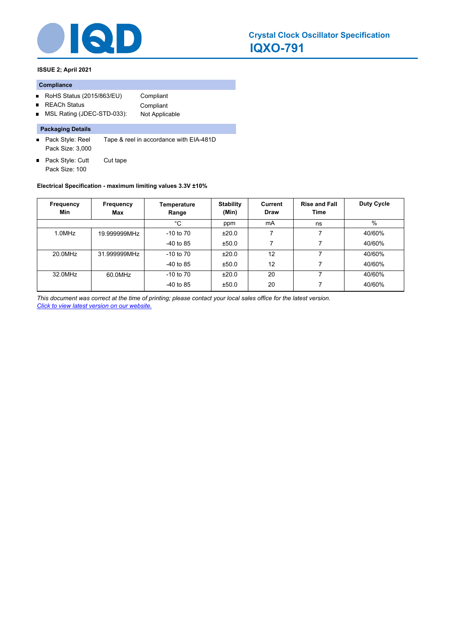

**ISSUE 2; April 2021**

#### **Compliance**

 $\blacksquare$ 

- RoHS Status (2015/863/EU) Compliant
	- REACh Status **Compliant**
- MSL Rating (JDEC-STD-033): Not Applicable  $\blacksquare$

## **Packaging Details**

- Pack Style: Reel Tape & reel in accordance with EIA-481D Pack Size: 3,000
- Pack Style: Cutt Cut tape Pack Size: 100

### **Electrical Specification - maximum limiting values 3.3V ±10%**

| Frequency<br>Min | <b>Frequency</b><br>Max | Temperature<br>Range | <b>Stability</b><br>(Min) | Current<br><b>Draw</b> | <b>Rise and Fall</b><br>Time | <b>Duty Cycle</b> |
|------------------|-------------------------|----------------------|---------------------------|------------------------|------------------------------|-------------------|
|                  |                         | °C                   | ppm                       | mA                     | ns                           | $\%$              |
| 1.0MHz           | 19.999999MHz            | $-10$ to $70$        | ±20.0                     |                        |                              | 40/60%            |
|                  |                         | $-40$ to 85          | ±50.0                     | 7                      |                              | 40/60%            |
| 20.0MHz          | 31.999999MHz            | $-10$ to $70$        | ±20.0                     | 12                     |                              | 40/60%            |
|                  |                         | $-40$ to 85          | ±50.0                     | 12                     |                              | 40/60%            |
| 32.0MHz          | 60.0MHz                 | $-10$ to $70$        | ±20.0                     | 20                     |                              | 40/60%            |
|                  |                         | $-40$ to 85          | ±50.0                     | 20                     |                              | 40/60%            |

*This document was correct at the time of printing; please contact your local sales office for the latest version. Click to view latest version on our website.*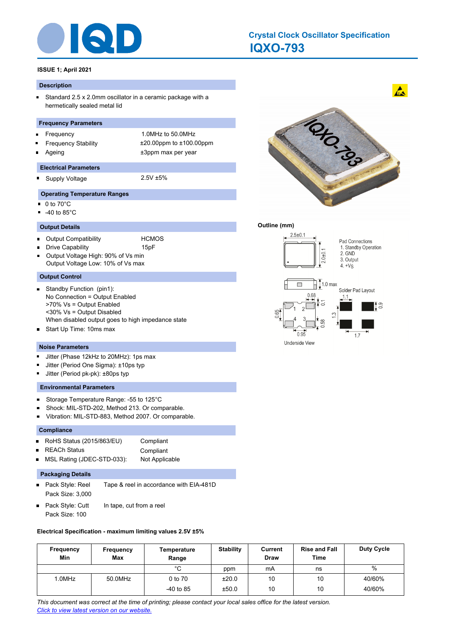

## **IQXO-793 Crystal Clock Oscillator Specification**

## **ISSUE 1; April 2021**

#### **Description**

 $\blacksquare$ Standard 2.5 x 2.0mm oscillator in a ceramic package with a hermetically sealed metal lid

#### **Frequency Parameters**

- Frequency 1.0MHz to 50.0MHz  $\blacksquare$
- 
- 

Frequency Stability ±20.00ppm to ±100.00ppm Ageing the theorem of the three states of the three states  $\pm 3$ ppm max per year

#### **Electrical Parameters**

Supply Voltage 2.5V ±5% O

#### **Operating Temperature Ranges**

- $\blacksquare$ 0 to 70°C
- -40 to 85°C  $\blacksquare$

#### **Output Details**

- Output Compatibility HCMOS  $\blacksquare$
- Drive Capability **15pF**
- Output Voltage High: 90% of Vs min Output Voltage Low: 10% of Vs max

#### **Output Control**

- $\blacksquare$ Standby Function (pin1): No Connection = Output Enabled >70% Vs = Output Enabled <30% Vs = Output Disabled When disabled output goes to high impedance state
- Start Up Time: 10ms max  $\blacksquare$

#### **Noise Parameters**

- $\blacksquare$ Jitter (Phase 12kHz to 20MHz): 1ps max
- m. Jitter (Period One Sigma): ±10ps typ
- $\blacksquare$ Jitter (Period pk-pk): ±80ps typ

#### **Environmental Parameters**

- $\blacksquare$ Storage Temperature Range: -55 to 125°C
- $\blacksquare$ Shock: MIL-STD-202, Method 213. Or comparable.
- Vibration: MIL-STD-883, Method 2007. Or comparable.  $\blacksquare$

#### **Compliance**

- RoHS Status (2015/863/EU) Compliant  $\blacksquare$ REACh Status **Compliant**  $\blacksquare$
- MSL Rating (JDEC-STD-033): Not Applicable  $\blacksquare$

## **Packaging Details**

- $\blacksquare$ Pack Style: Reel Tape & reel in accordance with EIA-481D Pack Size: 3,000
- Pack Style: Cutt In tape, cut from a reel Pack Size: 100

### **Electrical Specification - maximum limiting values 2.5V ±5%**

| Frequency<br>Min | Frequency<br>Max | Temperature<br>Range | <b>Stability</b> | Current<br><b>Draw</b> | <b>Rise and Fall</b><br>Time | Duty Cycle |
|------------------|------------------|----------------------|------------------|------------------------|------------------------------|------------|
|                  |                  | $\sim$               | ppm              | mA                     | ns                           | %          |
| 1.0MHz           | 50.0MHz          | 0 to 70              | ±20.0            | 10                     | 10                           | 40/60%     |
|                  |                  | $-40$ to 85          | ±50.0            | 10                     | 10                           | 40/60%     |

*This document was correct at the time of printing; please contact your local sales office for the latest version. Click to view latest version on our website.*



 $\mathbf{A}$ 

#### **Outline (mm)**



Underside View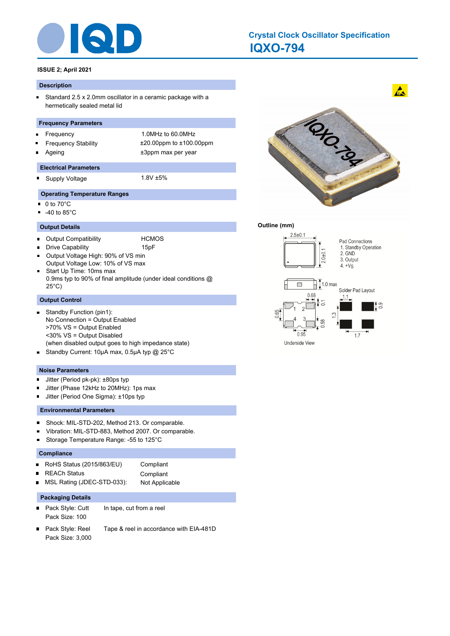

## **IQXO-794 Crystal Clock Oscillator Specification**

## **ISSUE 2; April 2021**

#### **Description**

 $\blacksquare$ Standard 2.5 x 2.0mm oscillator in a ceramic package with a hermetically sealed metal lid

## **Frequency Parameters**

- Frequency 1.0MHz to 60.0MHz  $\blacksquare$
- 
- 

Frequency Stability ±20.00ppm to ±100.00ppm Ageing the theorem of the three states of the three states  $\pm 3$ ppm max per year

#### **Electrical Parameters**

Supply Voltage 1.8V ±5% O

#### **Operating Temperature Ranges**

- $\blacksquare$ 0 to 70°C
- -40 to 85°C  $\blacksquare$

#### **Output Details**

 $\blacksquare$ 

Output Compatibility **HCMOS**  $\blacksquare$ 

- Drive Capability **15pF**
- Output Voltage High: 90% of VS min  $\blacksquare$
- Output Voltage Low: 10% of VS max Start Up Time: 10ms max  $\blacksquare$ 0.9ms typ to 90% of final amplitude (under ideal conditions @ 25°C)

### **Output Control**

- Standby Function (pin1):  $\blacksquare$ No Connection = Output Enabled >70% VS = Output Enabled <30% VS = Output Disabled (when disabled output goes to high impedance state)
- Standby Current: 10µA max, 0.5µA typ @ 25°C

#### **Noise Parameters**

- $\blacksquare$ Jitter (Period pk-pk): ±80ps typ
- π Jitter (Phase 12kHz to 20MHz): 1ps max
- Jitter (Period One Sigma): ±10ps typ s

## **Environmental Parameters**

- $\blacksquare$ Shock: MIL-STD-202, Method 213. Or comparable.
- Vibration: MIL-STD-883, Method 2007. Or comparable.
- × Storage Temperature Range: -55 to 125°C

#### **Compliance**

| RoHS Status (2015/863/EU) | Compliant |
|---------------------------|-----------|
| <b>REACh Status</b>       | Compliant |

|                            | -------------  |
|----------------------------|----------------|
| MSL Rating (JDEC-STD-033): | Not Applicable |

### **Packaging Details**

- Pack Style: Cutt In tape, cut from a reel  $\blacksquare$ Pack Size: 100
- Pack Style: Reel Tape & reel in accordance with EIA-481D Pack Size: 3,000



 $\mathbf{A}$ 

#### **Outline (mm)**



Underside View